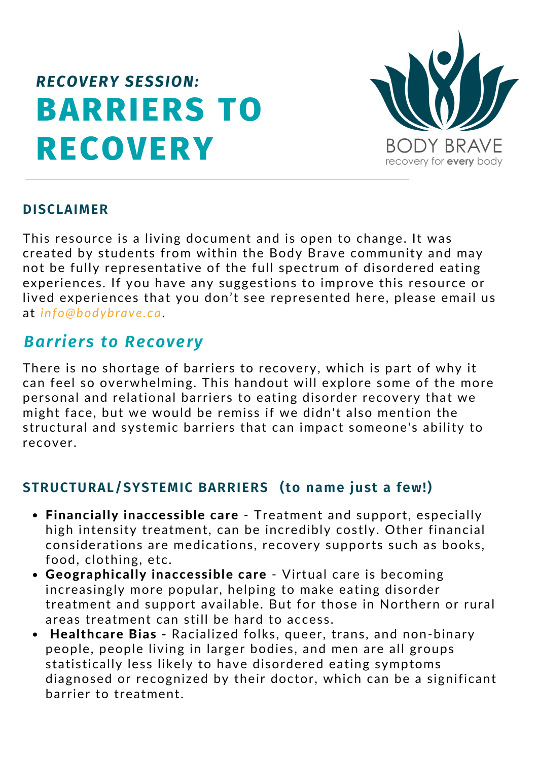# **BARRIERS TO RECOVERY** *RECOVERY SESSION:*



#### **DISCLAIMER**

This resource is a living document and is open to change. It was created by students from within the Body Brave community and may not be fully representative of the full spectrum of disordered eating experiences. If you have any suggestions to improve this resource or lived experiences that you don't see represented here, please email us at *info@bodybrave.ca*.

#### *Barriers to Recovery*

There is no shortage of barriers to recovery, which is part of why it can feel so overwhelming. This handout will explore some of the more personal and relational barriers to eating disorder recovery that we might face, but we would be remiss if we didn't also mention the structural and systemic barriers that can impact someone's ability to recover.

#### **STRUCTURAL/SYSTEMIC BARRIERS (to name just a few!)**

- Financially inaccessible care Treatment and support, especially high intensity treatment, can be incredibly costly. Other financial considerations are medications, recovery supports such as books, food, clothing, etc.
- Geographically inaccessible care Virtual care is becoming increasingly more popular, helping to make eating disorder treatment and support available. But for those in Northern or rural areas treatment can still be hard to access.
- Healthcare Bias Racialized folks, queer, trans, and non-binary people, people living in larger bodies, and men are all groups statistically less likely to have disordered eating symptoms diagnosed or recognized by their doctor, which can be a significant barrier to treatment.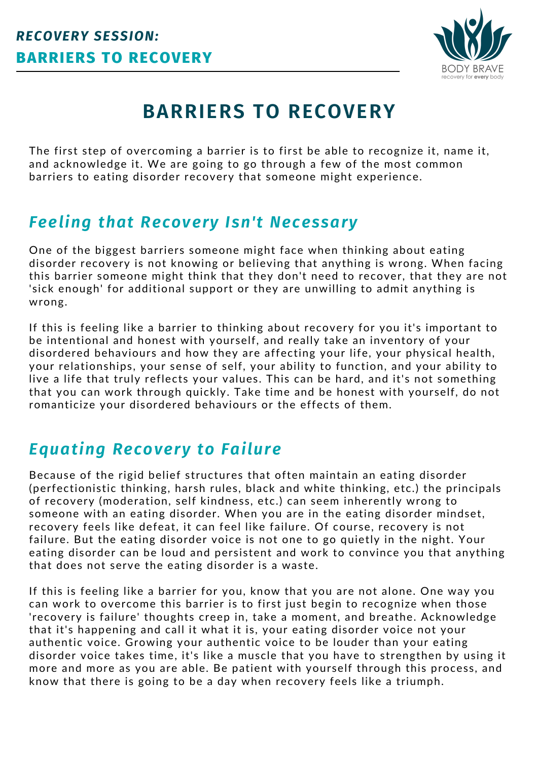

## **BARRIERS TO RECOVERY**

The first step of overcoming a barrier is to first be able to recognize it, name it, and acknowledge it. We are going to go through a few of the most common barriers to eating disorder recovery that someone might experience.

### *Feeling that Recovery Isn't Necessary*

One of the biggest barriers someone might face when thinking about eating disorder recovery is not knowing or believing that anything is wrong. When facing this barrier someone might think that they don't need to recover, that they are not 'sick enough' for additional support or they are unwilling to admit anything is wrong.

If this is feeling like a barrier to thinking about recovery for you it's important to be intentional and honest with yourself, and really take an inventory of your disordered behaviours and how they are affecting your life, your physical health, your relationships, your sense of self, your ability to function, and your ability to live a life that truly reflects your values. This can be hard, and it's not something that you can work through quickly. Take time and be honest with yourself, do not romanticize your disordered behaviours or the effects of them.

### *Equating Recovery to Failure*

Because of the rigid belief structures that often maintain an eating disorder (perfectionistic thinking, harsh rules, black and white thinking, etc.) the principals of recovery (moderation, self kindness, etc.) can seem inherently wrong to someone with an eating disorder. When you are in the eating disorder mindset, recovery feels like defeat, it can feel like failure. Of course, recovery is not failure. But the eating disorder voice is not one to go quietly in the night. Your eating disorder can be loud and persistent and work to convince you that anything that does not serve the eating disorder is a waste.

If this is feeling like a barrier for you, know that you are not alone. One way you can work to overcome this barrier is to first just begin to recognize when those 'recovery is failure' thoughts creep in, take a moment, and breathe. Acknowledge that it's happening and call it what it is, your eating disorder voice not your authentic voice. Growing your authentic voice to be louder than your eating disorder voice takes time, it's like a muscle that you have to strengthen by using it more and more as you are able. Be patient with yourself through this process, and know that there is going to be a day when recovery feels like a triumph.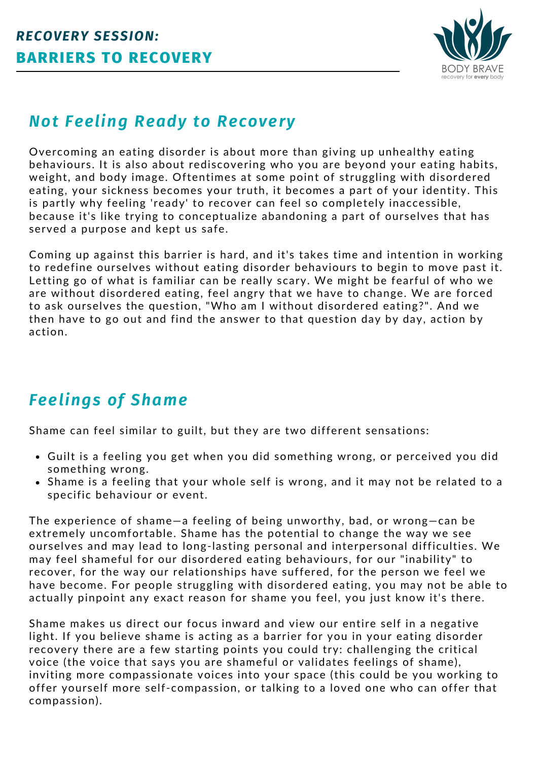

### *Not Feeling Ready to Recovery*

Overcoming an eating disorder is about more than giving up unhealthy eating behaviours. It is also about rediscovering who you are beyond your eating habits, weight, and body image. Oftentimes at some point of struggling with disordered eating, your sickness becomes your truth, it becomes a part of your identity. This is partly why feeling 'ready' to recover can feel so completely inaccessible, because it's like trying to conceptualize abandoning a part of ourselves that has served a purpose and kept us safe.

Coming up against this barrier is hard, and it's takes time and intention in working to redefine ourselves without eating disorder behaviours to begin to move past it. Letting go of what is familiar can be really scary. We might be fearful of who we are without disordered eating, feel angry that we have to change. We are forced to ask ourselves the question, "Who am I without disordered eating?". And we then have to go out and find the answer to that question day by day, action by action.

## *Feelings of Shame*

Shame can feel similar to guilt, but they are two different sensations:

- Guilt is a feeling you get when you did something wrong, or perceived you did something wrong.
- Shame is a feeling that your whole self is wrong, and it may not be related to a specific behaviour or event.

The experience of shame—a feeling of being unworthy, bad, or wrong—can be extremely uncomfortable. Shame has the potential to change the way we see ourselves and may lead to long-lasting personal and interpersonal difficulties. We may feel shameful for our disordered eating behaviours, for our "inability" to recover, for the way our relationships have suffered, for the person we feel we have become. For people struggling with disordered eating, you may not be able to actually pinpoint any exact reason for shame you feel, you just know it's there.

Shame makes us direct our focus inward and view our entire self in a negative light. If you believe shame is acting as a barrier for you in your eating disorder recovery there are a few starting points you could try: challenging the critical voice (the voice that says you are shameful or validates feelings of shame), inviting more compassionate voices into your space (this could be you working to offer yourself more self-compassion, or talking to a loved one who can offer that compassion).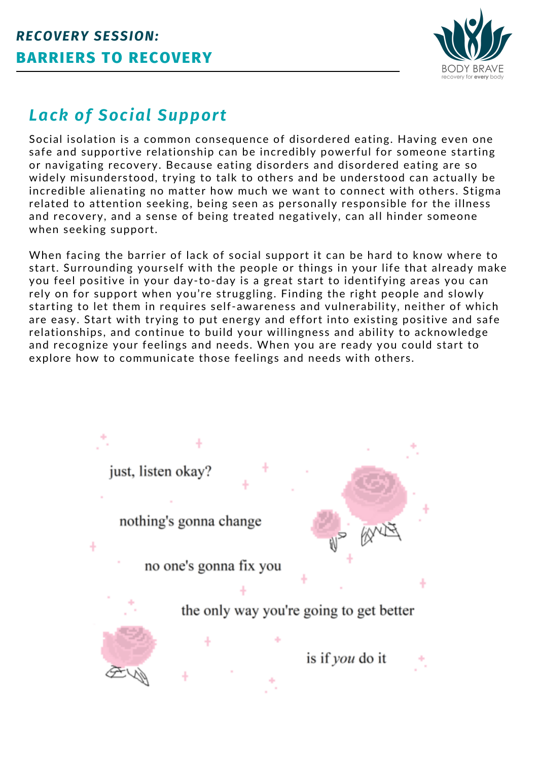

## *Lack of Social Support*

Social isolation is a common consequence of disordered eating. Having even one safe and supportive relationship can be incredibly powerful for someone starting or navigating recovery. Because eating disorders and disordered eating are so widely misunderstood, trying to talk to others and be understood can actually be incredible alienating no matter how much we want to connect with others. Stigma related to attention seeking, being seen as personally responsible for the illness and recovery, and a sense of being treated negatively, can all hinder someone when seeking support.

When facing the barrier of lack of social support it can be hard to know where to start. Surrounding yourself with the people or things in your life that already make you feel positive in your day-to-day is a great start to identifying areas you can rely on for support when you're struggling. Finding the right people and slowly starting to let them in requires self-awareness and vulnerability, neither of which are easy. Start with trying to put energy and effort into existing positive and safe relationships, and continue to build your willingness and ability to acknowledge and recognize your feelings and needs. When you are ready you could start to explore how to communicate those feelings and needs with others.

> just, listen okay? nothing's gonna change no one's gonna fix you the only way you're going to get better is if *you* do it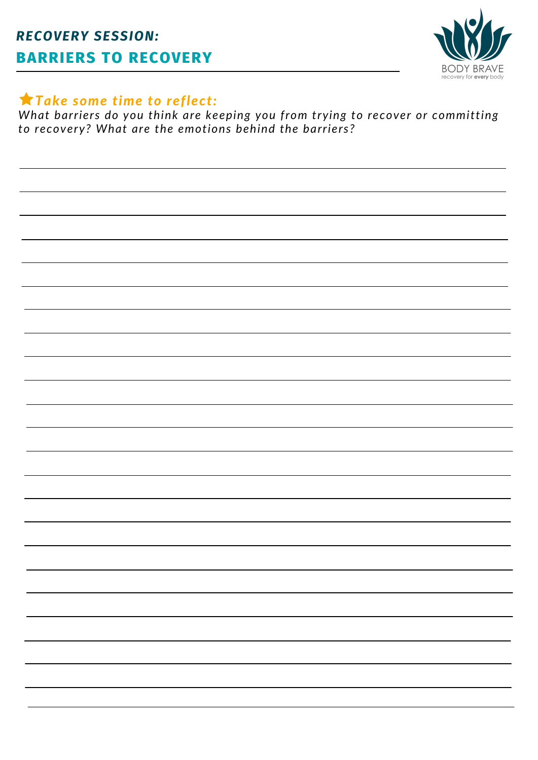

#### *Take some time to reflect:*

*What barriers do you think are keeping you from trying to recover or committing to recovery? What are the emotions behind the barriers?*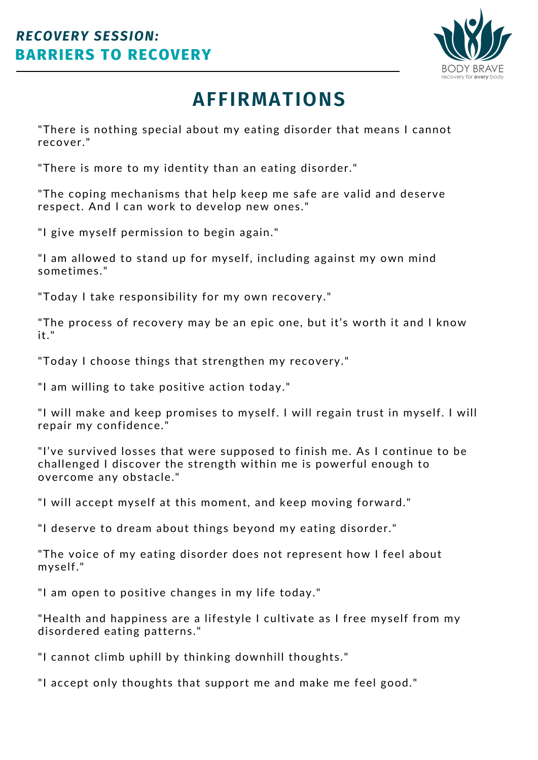

## **AFFIRMATIONS**

"There is nothing special about my eating disorder that means I cannot recover."

"There is more to my identity than an eating disorder."

"The coping mechanisms that help keep me safe are valid and deserve respect. And I can work to develop new ones."

"I give myself permission to begin again."

"I am allowed to stand up for myself, including against my own mind sometimes."

"Today I take responsibility for my own recovery."

"The process of recovery may be an epic one, but it's worth it and I know it."

"Today I choose things that strengthen my recovery."

"I am willing to take positive action today."

"I will make and keep promises to myself. I will regain trust in myself. I will repair my confidence."

"I've survived losses that were supposed to finish me. As I continue to be challenged I discover the strength within me is powerful enough to overcome any obstacle."

"I will accept myself at this moment, and keep moving forward."

"I deserve to dream about things beyond my eating disorder."

"The voice of my eating disorder does not represent how I feel about myself."

"I am open to positive changes in my life today."

"Health and happiness are a lifestyle I cultivate as I free myself from my disordered eating patterns."

"I cannot climb uphill by thinking downhill thoughts."

"I accept only thoughts that support me and make me feel good."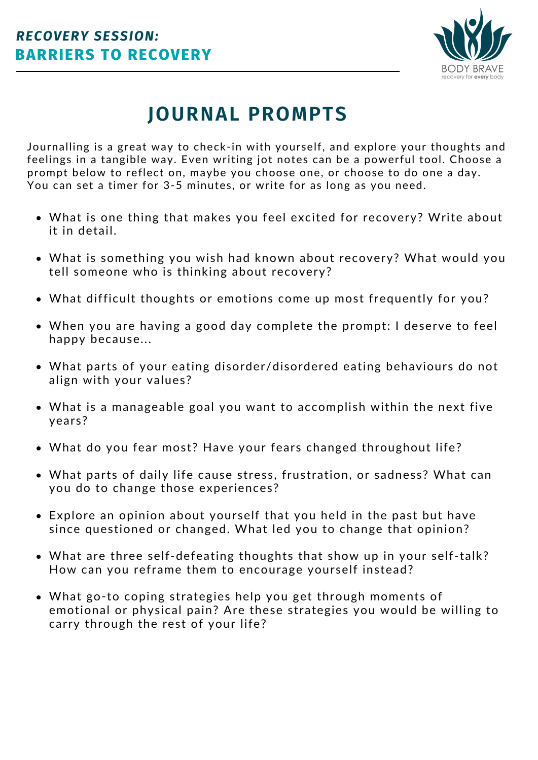

## **JOURNAL PROMPTS**

Journalling is a great way to check-in with yourself, and explore your thoughts and feelings in a tangible way. Even writing jot notes can be a powerful tool. Choose a prompt below to reflect on, maybe you choose one, or choose to do one a day. You can set a timer for 3-5 minutes, or write for as long as you need.

- What is one thing that makes you feel excited for recovery? Write about it in detail.
- What is something you wish had known about recovery? What would you tell someone who is thinking about recovery?
- What difficult thoughts or emotions come up most frequently for you?
- When you are having a good day complete the prompt: I deserve to feel happy because...
- What parts of your eating disorder/disordered eating behaviours do not align with your values?
- What is a manageable goal you want to accomplish within the next five years?
- What do you fear most? Have your fears changed throughout life?
- What parts of daily life cause stress, frustration, or sadness? What can you do to change those experiences?
- Explore an opinion about yourself that you held in the past but have since questioned or changed. What led you to change that opinion?
- What are three self-defeating thoughts that show up in your self-talk? How can you reframe them to encourage yourself instead?
- What go-to coping strategies help you get through moments of emotional or physical pain? Are these strategies you would be willing to carry through the rest of your life?